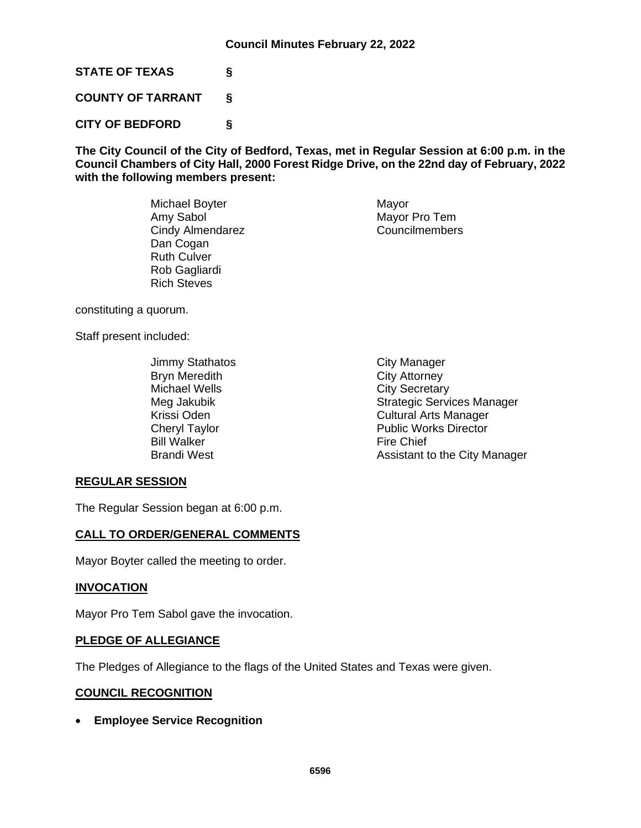**STATE OF TEXAS §**

**COUNTY OF TARRANT §**

**CITY OF BEDFORD §**

**The City Council of the City of Bedford, Texas, met in Regular Session at 6:00 p.m. in the Council Chambers of City Hall, 2000 Forest Ridge Drive, on the 22nd day of February, 2022 with the following members present:**

> Michael Boyter **Mayor** Mayor Amy Sabol Mayor Pro Tem<br>
> Cindy Almendarez Councilmembers Cindy Almendarez Dan Cogan Ruth Culver Rob Gagliardi Rich Steves

constituting a quorum.

Staff present included:

Jimmy Stathatos **City Manager** Bryn Meredith **City Attorney** Michael Wells **City Secretary** Bill Walker Fire Chief<br>Brandi West Fire Chief

# Meg Jakubik **Strategic Services Manager** Strategic Services Manager Krissi Oden **Cultural Arts Manager** Cheryl Taylor **Public Works Director** Assistant to the City Manager

## **REGULAR SESSION**

The Regular Session began at 6:00 p.m.

# **CALL TO ORDER/GENERAL COMMENTS**

Mayor Boyter called the meeting to order.

## **INVOCATION**

Mayor Pro Tem Sabol gave the invocation.

## **PLEDGE OF ALLEGIANCE**

The Pledges of Allegiance to the flags of the United States and Texas were given.

## **COUNCIL RECOGNITION**

• **Employee Service Recognition**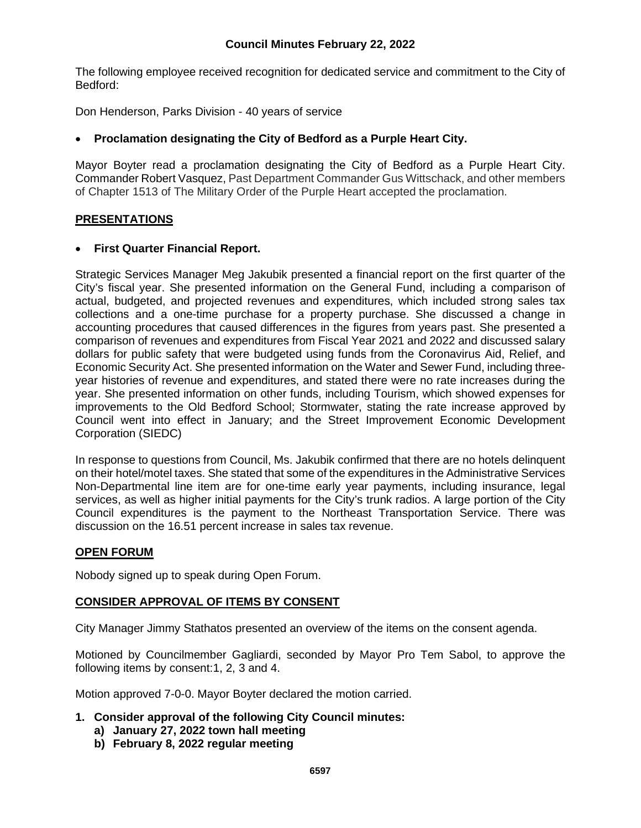## **Council Minutes February 22, 2022**

The following employee received recognition for dedicated service and commitment to the City of Bedford:

Don Henderson, Parks Division - 40 years of service

## • **Proclamation designating the City of Bedford as a Purple Heart City.**

Mayor Boyter read a proclamation designating the City of Bedford as a Purple Heart City. Commander Robert Vasquez, Past Department Commander Gus Wittschack, and other members of Chapter 1513 of The Military Order of the Purple Heart accepted the proclamation.

### **PRESENTATIONS**

#### • **First Quarter Financial Report.**

Strategic Services Manager Meg Jakubik presented a financial report on the first quarter of the City's fiscal year. She presented information on the General Fund, including a comparison of actual, budgeted, and projected revenues and expenditures, which included strong sales tax collections and a one-time purchase for a property purchase. She discussed a change in accounting procedures that caused differences in the figures from years past. She presented a comparison of revenues and expenditures from Fiscal Year 2021 and 2022 and discussed salary dollars for public safety that were budgeted using funds from the Coronavirus Aid, Relief, and Economic Security Act. She presented information on the Water and Sewer Fund, including threeyear histories of revenue and expenditures, and stated there were no rate increases during the year. She presented information on other funds, including Tourism, which showed expenses for improvements to the Old Bedford School; Stormwater, stating the rate increase approved by Council went into effect in January; and the Street Improvement Economic Development Corporation (SIEDC)

In response to questions from Council, Ms. Jakubik confirmed that there are no hotels delinquent on their hotel/motel taxes. She stated that some of the expenditures in the Administrative Services Non-Departmental line item are for one-time early year payments, including insurance, legal services, as well as higher initial payments for the City's trunk radios. A large portion of the City Council expenditures is the payment to the Northeast Transportation Service. There was discussion on the 16.51 percent increase in sales tax revenue.

#### **OPEN FORUM**

Nobody signed up to speak during Open Forum.

## **CONSIDER APPROVAL OF ITEMS BY CONSENT**

City Manager Jimmy Stathatos presented an overview of the items on the consent agenda.

Motioned by Councilmember Gagliardi, seconded by Mayor Pro Tem Sabol, to approve the following items by consent:1, 2, 3 and 4.

Motion approved 7-0-0. Mayor Boyter declared the motion carried.

- **1. Consider approval of the following City Council minutes:**
	- **a) January 27, 2022 town hall meeting**
	- **b) February 8, 2022 regular meeting**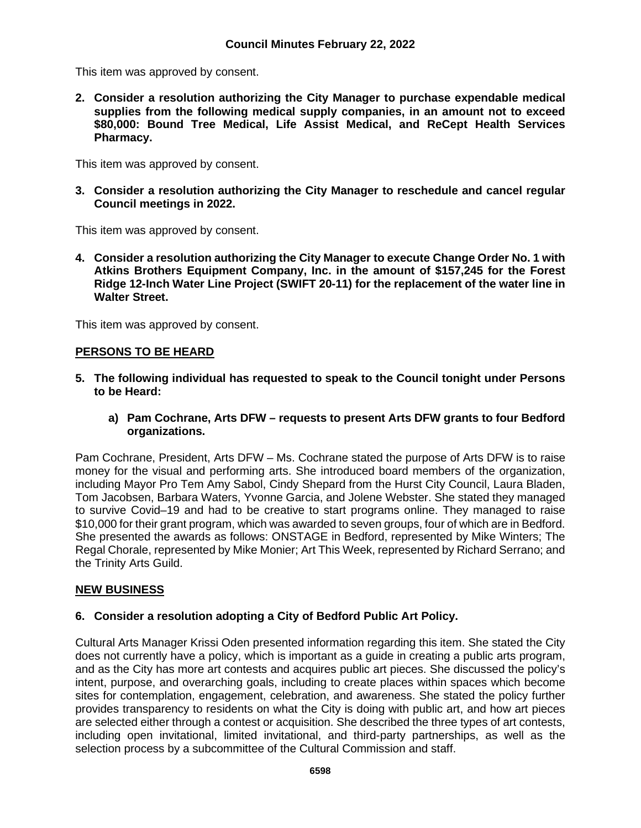This item was approved by consent.

**2. Consider a resolution authorizing the City Manager to purchase expendable medical supplies from the following medical supply companies, in an amount not to exceed \$80,000: Bound Tree Medical, Life Assist Medical, and ReCept Health Services Pharmacy.**

This item was approved by consent.

**3. Consider a resolution authorizing the City Manager to reschedule and cancel regular Council meetings in 2022.**

This item was approved by consent.

**4. Consider a resolution authorizing the City Manager to execute Change Order No. 1 with Atkins Brothers Equipment Company, Inc. in the amount of \$157,245 for the Forest Ridge 12-Inch Water Line Project (SWIFT 20-11) for the replacement of the water line in Walter Street.**

This item was approved by consent.

# **PERSONS TO BE HEARD**

- **5. The following individual has requested to speak to the Council tonight under Persons to be Heard:**
	- **a) Pam Cochrane, Arts DFW – requests to present Arts DFW grants to four Bedford organizations.**

Pam Cochrane, President, Arts DFW – Ms. Cochrane stated the purpose of Arts DFW is to raise money for the visual and performing arts. She introduced board members of the organization, including Mayor Pro Tem Amy Sabol, Cindy Shepard from the Hurst City Council, Laura Bladen, Tom Jacobsen, Barbara Waters, Yvonne Garcia, and Jolene Webster. She stated they managed to survive Covid–19 and had to be creative to start programs online. They managed to raise \$10,000 for their grant program, which was awarded to seven groups, four of which are in Bedford. She presented the awards as follows: ONSTAGE in Bedford, represented by Mike Winters; The Regal Chorale, represented by Mike Monier; Art This Week, represented by Richard Serrano; and the Trinity Arts Guild.

# **NEW BUSINESS**

## **6. Consider a resolution adopting a City of Bedford Public Art Policy.**

Cultural Arts Manager Krissi Oden presented information regarding this item. She stated the City does not currently have a policy, which is important as a guide in creating a public arts program, and as the City has more art contests and acquires public art pieces. She discussed the policy's intent, purpose, and overarching goals, including to create places within spaces which become sites for contemplation, engagement, celebration, and awareness. She stated the policy further provides transparency to residents on what the City is doing with public art, and how art pieces are selected either through a contest or acquisition. She described the three types of art contests, including open invitational, limited invitational, and third-party partnerships, as well as the selection process by a subcommittee of the Cultural Commission and staff.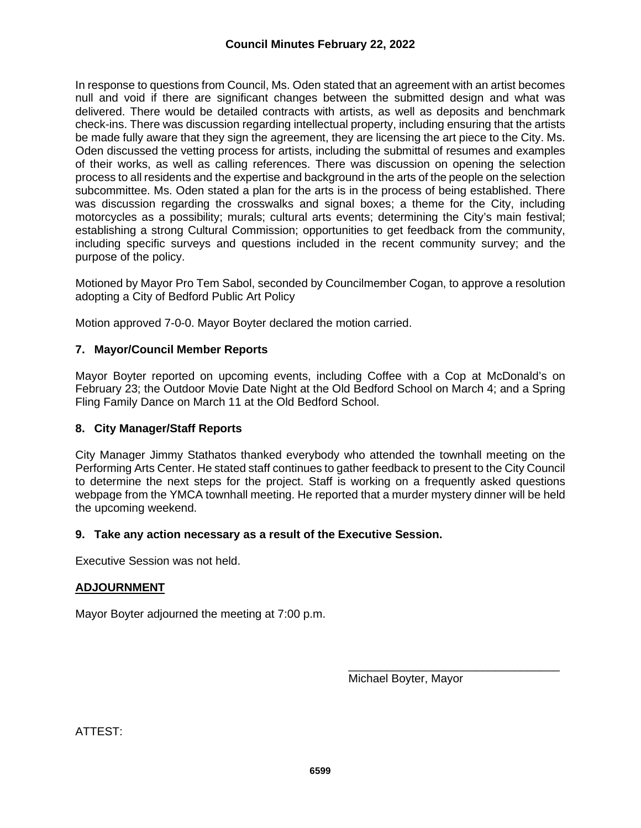In response to questions from Council, Ms. Oden stated that an agreement with an artist becomes null and void if there are significant changes between the submitted design and what was delivered. There would be detailed contracts with artists, as well as deposits and benchmark check-ins. There was discussion regarding intellectual property, including ensuring that the artists be made fully aware that they sign the agreement, they are licensing the art piece to the City. Ms. Oden discussed the vetting process for artists, including the submittal of resumes and examples of their works, as well as calling references. There was discussion on opening the selection process to all residents and the expertise and background in the arts of the people on the selection subcommittee. Ms. Oden stated a plan for the arts is in the process of being established. There was discussion regarding the crosswalks and signal boxes; a theme for the City, including motorcycles as a possibility; murals; cultural arts events; determining the City's main festival; establishing a strong Cultural Commission; opportunities to get feedback from the community, including specific surveys and questions included in the recent community survey; and the purpose of the policy.

Motioned by Mayor Pro Tem Sabol, seconded by Councilmember Cogan, to approve a resolution adopting a City of Bedford Public Art Policy

Motion approved 7-0-0. Mayor Boyter declared the motion carried.

# **7. Mayor/Council Member Reports**

Mayor Boyter reported on upcoming events, including Coffee with a Cop at McDonald's on February 23; the Outdoor Movie Date Night at the Old Bedford School on March 4; and a Spring Fling Family Dance on March 11 at the Old Bedford School.

## **8. City Manager/Staff Reports**

City Manager Jimmy Stathatos thanked everybody who attended the townhall meeting on the Performing Arts Center. He stated staff continues to gather feedback to present to the City Council to determine the next steps for the project. Staff is working on a frequently asked questions webpage from the YMCA townhall meeting. He reported that a murder mystery dinner will be held the upcoming weekend.

## **9. Take any action necessary as a result of the Executive Session.**

Executive Session was not held.

## **ADJOURNMENT**

Mayor Boyter adjourned the meeting at 7:00 p.m.

Michael Boyter, Mayor

\_\_\_\_\_\_\_\_\_\_\_\_\_\_\_\_\_\_\_\_\_\_\_\_\_\_\_\_\_\_\_\_\_

ATTEST: